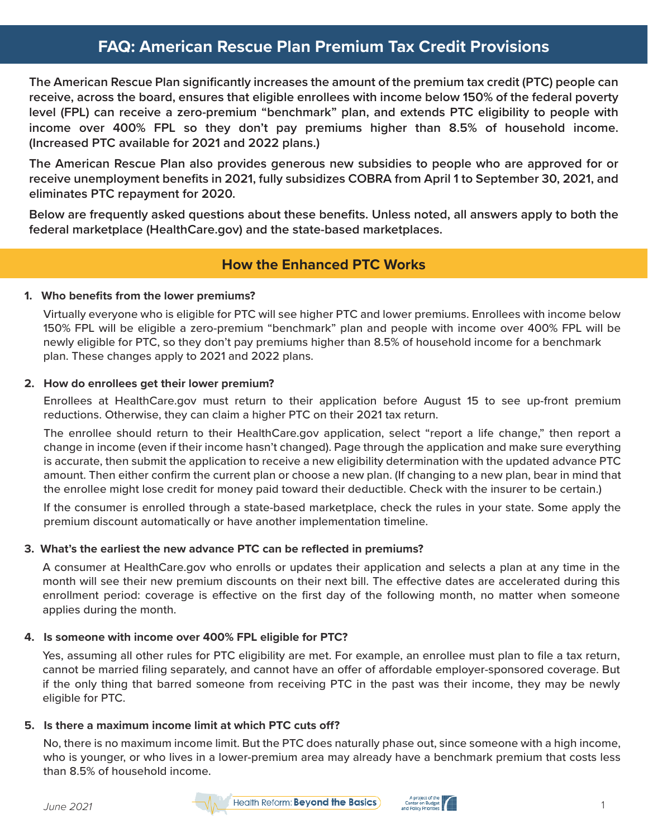# **FAQ: American Rescue Plan Premium Tax Credit Provisions**

**The American Rescue Plan significantly increases the amount of the premium tax credit (PTC) people can receive, across the board, ensures that eligible enrollees with income below 150% of the federal poverty level (FPL) can receive a zero-premium "benchmark" plan, and extends PTC eligibility to people with income over 400% FPL so they don't pay premiums higher than 8.5% of household income. (Increased PTC available for 2021 and 2022 plans.)**

**The American Rescue Plan also provides generous new subsidies to people who are approved for or receive unemployment benefits in 2021, fully subsidizes COBRA from April 1 to September 30, 2021, and eliminates PTC repayment for 2020.** 

**Below are frequently asked questions about these benefits. Unless noted, all answers apply to both the federal marketplace (HealthCare.gov) and the state-based marketplaces.**

# **How the Enhanced PTC Works**

### **1. Who benefits from the lower premiums?**

Virtually everyone who is eligible for PTC will see higher PTC and lower premiums. Enrollees with income below 150% FPL will be eligible a zero-premium "benchmark" plan and people with income over 400% FPL will be newly eligible for PTC, so they don't pay premiums higher than 8.5% of household income for a benchmark plan. These changes apply to 2021 and 2022 plans.

### **2. How do enrollees get their lower premium?**

Enrollees at HealthCare.gov must return to their application before August 15 to see up-front premium reductions. Otherwise, they can claim a higher PTC on their 2021 tax return.

The enrollee should return to their HealthCare.gov application, select "report a life change," then report a change in income (even if their income hasn't changed). Page through the application and make sure everything is accurate, then submit the application to receive a new eligibility determination with the updated advance PTC amount. Then either confirm the current plan or choose a new plan. (If changing to a new plan, bear in mind that the enrollee might lose credit for money paid toward their deductible. Check with the insurer to be certain.)

If the consumer is enrolled through a state-based marketplace, check the rules in your state. Some apply the premium discount automatically or have another implementation timeline.

### **3. What's the earliest the new advance PTC can be reflected in premiums?**

A consumer at HealthCare.gov who enrolls or updates their application and selects a plan at any time in the month will see their new premium discounts on their next bill. The effective dates are accelerated during this enrollment period: coverage is effective on the first day of the following month, no matter when someone applies during the month.

### **4. Is someone with income over 400% FPL eligible for PTC?**

Yes, assuming all other rules for PTC eligibility are met. For example, an enrollee must plan to file a tax return, cannot be married filing separately, and cannot have an offer of affordable employer-sponsored coverage. But if the only thing that barred someone from receiving PTC in the past was their income, they may be newly eligible for PTC.

### **5.** Is there a maximum income limit at which PTC cuts off?

No, there is no maximum income limit. But the PTC does naturally phase out, since someone with a high income, who is younger, or who lives in a lower-premium area may already have a benchmark premium that costs less than 8.5% of household income.

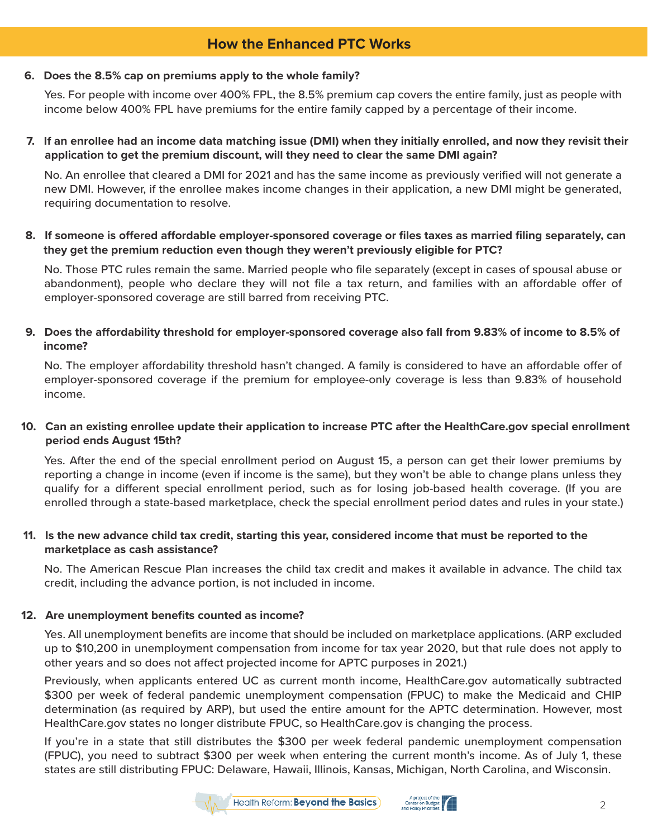# **How the Enhanced PTC Works**

#### **6. Does the 8.5% cap on premiums apply to the whole family?**

Yes. For people with income over 400% FPL, the 8.5% premium cap covers the entire family, just as people with income below 400% FPL have premiums for the entire family capped by a percentage of their income.

**7. If an enrollee had an income data matching issue (DMI) when they initially enrolled, and now they revisit their application to get the premium discount, will they need to clear the same DMI again?**

No. An enrollee that cleared a DMI for 2021 and has the same income as previously verified will not generate a new DMI. However, if the enrollee makes income changes in their application, a new DMI might be generated, requiring documentation to resolve.

8. If someone is offered affordable employer-sponsored coverage or files taxes as married filing separately, can  **they get the premium reduction even though they weren't previously eligible for PTC?** 

No. Those PTC rules remain the same. Married people who file separately (except in cases of spousal abuse or abandonment), people who declare they will not file a tax return, and families with an affordable offer of employer-sponsored coverage are still barred from receiving PTC.

**9.** Does the affordability threshold for employer-sponsored coverage also fall from 9.83% of income to 8.5% of  **income?**

No. The employer affordability threshold hasn't changed. A family is considered to have an affordable offer of employer-sponsored coverage if the premium for employee-only coverage is less than 9.83% of household income.

### **10. Can an existing enrollee update their application to increase PTC after the HealthCare.gov special enrollment period ends August 15th?**

Yes. After the end of the special enrollment period on August 15, a person can get their lower premiums by reporting a change in income (even if income is the same), but they won't be able to change plans unless they qualify for a different special enrollment period, such as for losing job-based health coverage. (If you are enrolled through a state-based marketplace, check the special enrollment period dates and rules in your state.)

### **11. Is the new advance child tax credit, starting this year, considered income that must be reported to the marketplace as cash assistance?**

No. The American Rescue Plan increases the child tax credit and makes it available in advance. The child tax credit, including the advance portion, is not included in income.

#### **12. Are unemployment benefits counted as income?**

Yes. All unemployment benefits are income that should be included on marketplace applications. (ARP excluded up to \$10,200 in unemployment compensation from income for tax year 2020, but that rule does not apply to other years and so does not affect projected income for APTC purposes in 2021.)

Previously, when applicants entered UC as current month income, HealthCare.gov automatically subtracted \$300 per week of federal pandemic unemployment compensation (FPUC) to make the Medicaid and CHIP determination (as required by ARP), but used the entire amount for the APTC determination. However, most HealthCare.gov states no longer distribute FPUC, so HealthCare.gov is changing the process.

If you're in a state that still distributes the \$300 per week federal pandemic unemployment compensation (FPUC), you need to subtract \$300 per week when entering the current month's income. As of July 1, these states are still distributing FPUC: Delaware, Hawaii, Illinois, Kansas, Michigan, North Carolina, and Wisconsin.



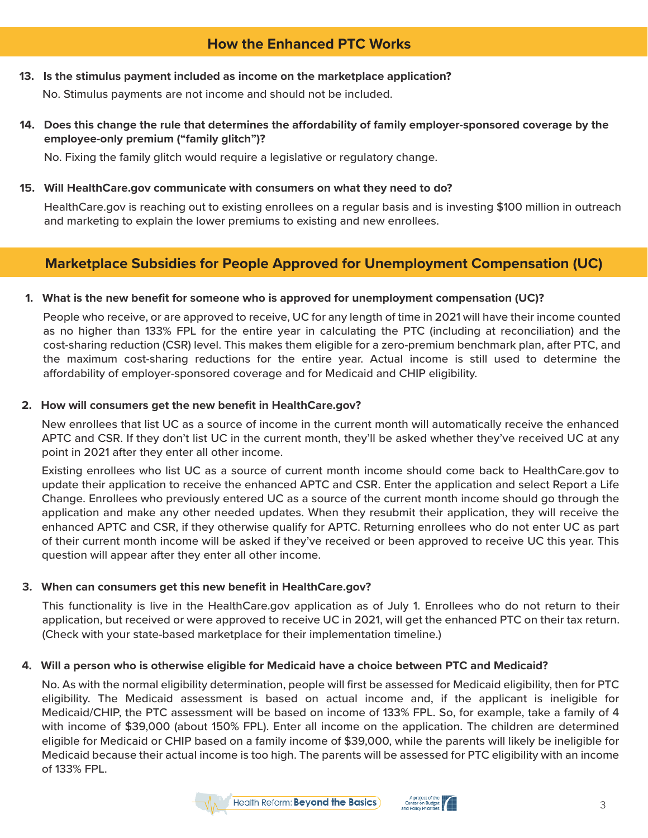# **How the Enhanced PTC Works**

**13. Is the stimulus payment included as income on the marketplace application?**

No. Stimulus payments are not income and should not be included.

14. Does this change the rule that determines the affordability of family employer-sponsored coverage by the  **employee-only premium ("family glitch")?**

No. Fixing the family glitch would require a legislative or regulatory change.

#### **15. Will HealthCare.gov communicate with consumers on what they need to do?**

HealthCare.gov is reaching out to existing enrollees on a regular basis and is investing \$100 million in outreach and marketing to explain the lower premiums to existing and new enrollees.

# **Marketplace Subsidies for People Approved for Unemployment Compensation (UC)**

#### **1. What is the new benefit for someone who is approved for unemployment compensation (UC)?**

People who receive, or are approved to receive, UC for any length of time in 2021 will have their income counted as no higher than 133% FPL for the entire year in calculating the PTC (including at reconciliation) and the cost-sharing reduction (CSR) level. This makes them eligible for a zero-premium benchmark plan, after PTC, and the maximum cost-sharing reductions for the entire year. Actual income is still used to determine the affordability of employer-sponsored coverage and for Medicaid and CHIP eligibility.

#### **2. How will consumers get the new benefit in HealthCare.gov?**

New enrollees that list UC as a source of income in the current month will automatically receive the enhanced APTC and CSR. If they don't list UC in the current month, they'll be asked whether they've received UC at any point in 2021 after they enter all other income.

Existing enrollees who list UC as a source of current month income should come back to HealthCare.gov to update their application to receive the enhanced APTC and CSR. Enter the application and select Report a Life Change. Enrollees who previously entered UC as a source of the current month income should go through the application and make any other needed updates. When they resubmit their application, they will receive the enhanced APTC and CSR, if they otherwise qualify for APTC. Returning enrollees who do not enter UC as part of their current month income will be asked if they've received or been approved to receive UC this year. This question will appear after they enter all other income.

#### **3. When can consumers get this new benefit in HealthCare.gov?**

This functionality is live in the HealthCare.gov application as of July 1. Enrollees who do not return to their application, but received or were approved to receive UC in 2021, will get the enhanced PTC on their tax return. (Check with your state-based marketplace for their implementation timeline.)

#### **4. Will a person who is otherwise eligible for Medicaid have a choice between PTC and Medicaid?**

No. As with the normal eligibility determination, people will first be assessed for Medicaid eligibility, then for PTC eligibility. The Medicaid assessment is based on actual income and, if the applicant is ineligible for Medicaid/CHIP, the PTC assessment will be based on income of 133% FPL. So, for example, take a family of 4 with income of \$39,000 (about 150% FPL). Enter all income on the application. The children are determined eligible for Medicaid or CHIP based on a family income of \$39,000, while the parents will likely be ineligible for Medicaid because their actual income is too high. The parents will be assessed for PTC eligibility with an income of 133% FPL.



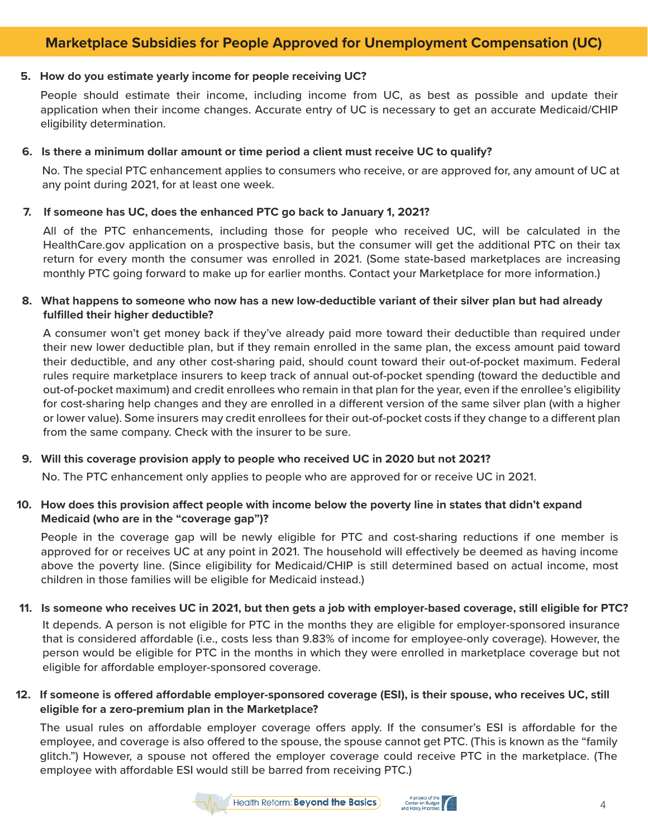# **Marketplace Subsidies for People Approved for Unemployment Compensation (UC)**

#### **5. How do you estimate yearly income for people receiving UC?**

People should estimate their income, including income from UC, as best as possible and update their application when their income changes. Accurate entry of UC is necessary to get an accurate Medicaid/CHIP eligibility determination.

#### **6. Is there a minimum dollar amount or time period a client must receive UC to qualify?**

No. The special PTC enhancement applies to consumers who receive, or are approved for, any amount of UC at any point during 2021, for at least one week.

#### **7. If someone has UC, does the enhanced PTC go back to January 1, 2021?**

All of the PTC enhancements, including those for people who received UC, will be calculated in the HealthCare.gov application on a prospective basis, but the consumer will get the additional PTC on their tax return for every month the consumer was enrolled in 2021. (Some state-based marketplaces are increasing monthly PTC going forward to make up for earlier months. Contact your Marketplace for more information.)

#### **8. What happens to someone who now has a new low-deductible variant of their silver plan but had already fulfilled their higher deductible?**

A consumer won't get money back if they've already paid more toward their deductible than required under their new lower deductible plan, but if they remain enrolled in the same plan, the excess amount paid toward their deductible, and any other cost-sharing paid, should count toward their out-of-pocket maximum. Federal rules require marketplace insurers to keep track of annual out-of-pocket spending (toward the deductible and out-of-pocket maximum) and credit enrollees who remain in that plan for the year, even if the enrollee's eligibility for cost-sharing help changes and they are enrolled in a different version of the same silver plan (with a higher or lower value). Some insurers may credit enrollees for their out-of-pocket costs if they change to a different plan from the same company. Check with the insurer to be sure.

#### **9. Will this coverage provision apply to people who received UC in 2020 but not 2021?**

No. The PTC enhancement only applies to people who are approved for or receive UC in 2021.

#### **10. How does this provision affect people with income below the poverty line in states that didn't expand Medicaid (who are in the "coverage gap")?**

People in the coverage gap will be newly eligible for PTC and cost-sharing reductions if one member is approved for or receives UC at any point in 2021. The household will effectively be deemed as having income above the poverty line. (Since eligibility for Medicaid/CHIP is still determined based on actual income, most children in those families will be eligible for Medicaid instead.)

#### **11. Is someone who receives UC in 2021, but then gets a job with employer-based coverage, still eligible for PTC?**

It depends. A person is not eligible for PTC in the months they are eligible for employer-sponsored insurance that is considered affordable (i.e., costs less than 9.83% of income for employee-only coverage). However, the person would be eligible for PTC in the months in which they were enrolled in marketplace coverage but not eligible for affordable employer-sponsored coverage.

#### **12.** If someone is offered affordable employer-sponsored coverage (ESI), is their spouse, who receives UC, still  **eligible for a zero-premium plan in the Marketplace?**

The usual rules on affordable employer coverage offers apply. If the consumer's ESI is affordable for the employee, and coverage is also offered to the spouse, the spouse cannot get PTC. (This is known as the "family glitch.") However, a spouse not offered the employer coverage could receive PTC in the marketplace. (The employee with affordable ESI would still be barred from receiving PTC.)



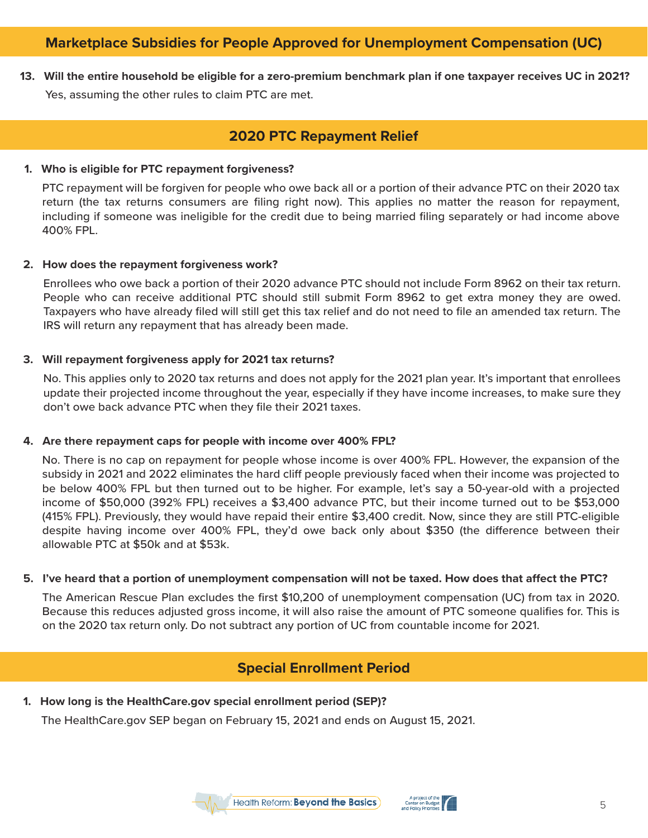# **Marketplace Subsidies for People Approved for Unemployment Compensation (UC)**

**13. Will the entire household be eligible for a zero-premium benchmark plan if one taxpayer receives UC in 2021?** Yes, assuming the other rules to claim PTC are met.

## **2020 PTC Repayment Relief**

#### **1. Who is eligible for PTC repayment forgiveness?**

PTC repayment will be forgiven for people who owe back all or a portion of their advance PTC on their 2020 tax return (the tax returns consumers are filing right now). This applies no matter the reason for repayment, including if someone was ineligible for the credit due to being married filing separately or had income above 400% FPL.

#### **2. How does the repayment forgiveness work?**

Enrollees who owe back a portion of their 2020 advance PTC should not include Form 8962 on their tax return. People who can receive additional PTC should still submit Form 8962 to get extra money they are owed. Taxpayers who have already filed will still get this tax relief and do not need to file an amended tax return. The IRS will return any repayment that has already been made.

#### **3. Will repayment forgiveness apply for 2021 tax returns?**

No. This applies only to 2020 tax returns and does not apply for the 2021 plan year. It's important that enrollees update their projected income throughout the year, especially if they have income increases, to make sure they don't owe back advance PTC when they file their 2021 taxes.

#### **4. Are there repayment caps for people with income over 400% FPL?**

No. There is no cap on repayment for people whose income is over 400% FPL. However, the expansion of the subsidy in 2021 and 2022 eliminates the hard cliff people previously faced when their income was projected to be below 400% FPL but then turned out to be higher. For example, let's say a 50-year-old with a projected income of \$50,000 (392% FPL) receives a \$3,400 advance PTC, but their income turned out to be \$53,000 (415% FPL). Previously, they would have repaid their entire \$3,400 credit. Now, since they are still PTC-eligible despite having income over 400% FPL, they'd owe back only about \$350 (the difference between their allowable PTC at \$50k and at \$53k.

#### **5. I've heard that a portion of unemployment compensation will not be taxed. How does that affect the PTC?**

The American Rescue Plan excludes the first \$10,200 of unemployment compensation (UC) from tax in 2020. Because this reduces adjusted gross income, it will also raise the amount of PTC someone qualifies for. This is on the 2020 tax return only. Do not subtract any portion of UC from countable income for 2021.

### **Special Enrollment Period**

**1. How long is the HealthCare.gov special enrollment period (SEP)?**

The HealthCare.gov SEP began on February 15, 2021 and ends on August 15, 2021.